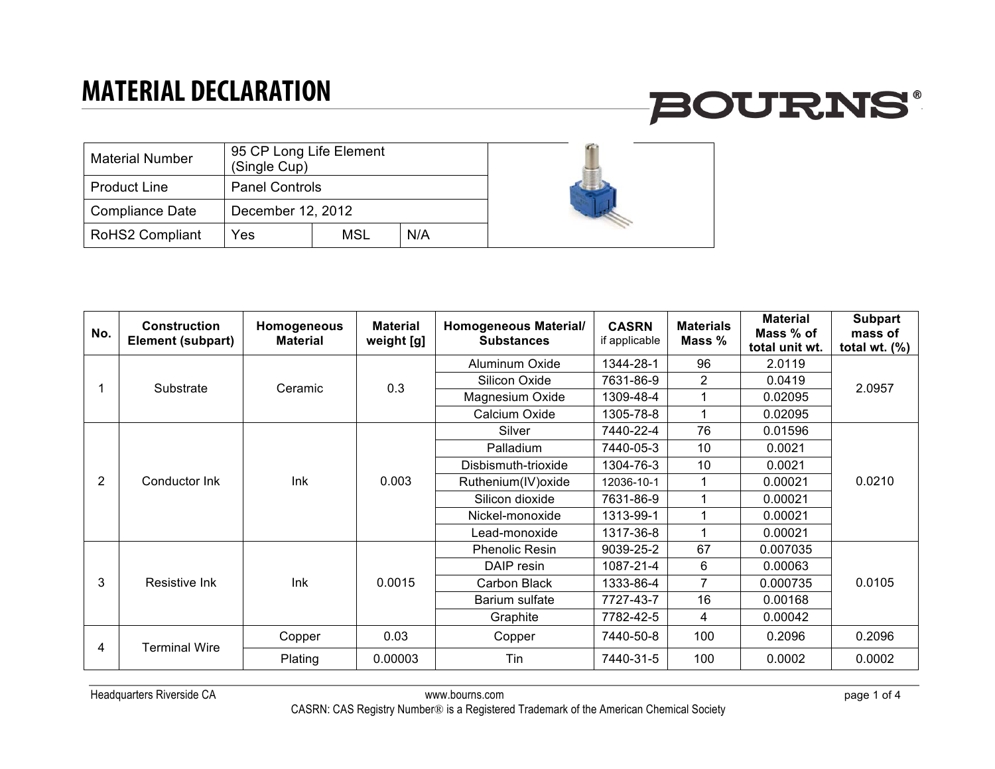

| <b>Material Number</b> | 95 CP Long Life Element<br>(Single Cup) |     |     |  |  |
|------------------------|-----------------------------------------|-----|-----|--|--|
| <b>Product Line</b>    | <b>Panel Controls</b>                   |     |     |  |  |
| <b>Compliance Date</b> | December 12, 2012                       |     |     |  |  |
| <b>RoHS2 Compliant</b> | Yes                                     | MSL | N/A |  |  |

| No.            | <b>Construction</b><br><b>Element (subpart)</b> | Homogeneous<br><b>Material</b> | <b>Material</b><br>weight [g] | <b>Homogeneous Material/</b><br><b>Substances</b> | <b>CASRN</b><br>if applicable | <b>Materials</b><br>Mass % | <b>Material</b><br>Mass % of<br>total unit wt. | <b>Subpart</b><br>mass of<br>total wt. $(\%)$ |
|----------------|-------------------------------------------------|--------------------------------|-------------------------------|---------------------------------------------------|-------------------------------|----------------------------|------------------------------------------------|-----------------------------------------------|
|                |                                                 | Ceramic                        | 0.3                           | Aluminum Oxide                                    | 1344-28-1                     | 96                         | 2.0119                                         | 2.0957                                        |
|                |                                                 |                                |                               | Silicon Oxide                                     | 7631-86-9                     | 2                          | 0.0419                                         |                                               |
|                | Substrate                                       |                                |                               | Magnesium Oxide                                   | 1309-48-4                     |                            | 0.02095                                        |                                               |
|                |                                                 |                                |                               | Calcium Oxide                                     | 1305-78-8                     | 1                          | 0.02095                                        |                                               |
|                |                                                 |                                | 0.003                         | Silver                                            | 7440-22-4                     | 76                         | 0.01596                                        |                                               |
|                | Conductor Ink                                   | Ink                            |                               | Palladium                                         | 7440-05-3                     | 10                         | 0.0021                                         | 0.0210<br>0.0105                              |
|                |                                                 |                                |                               | Disbismuth-trioxide                               | 1304-76-3                     | 10                         | 0.0021                                         |                                               |
| $\overline{2}$ |                                                 |                                |                               | Ruthenium(IV) oxide                               | 12036-10-1                    |                            | 0.00021                                        |                                               |
|                |                                                 |                                |                               | Silicon dioxide                                   | 7631-86-9                     |                            | 0.00021                                        |                                               |
|                |                                                 |                                |                               | Nickel-monoxide                                   | 1313-99-1                     |                            | 0.00021                                        |                                               |
|                |                                                 |                                |                               | Lead-monoxide                                     | 1317-36-8                     |                            | 0.00021                                        |                                               |
|                | Resistive Ink                                   | Ink                            | 0.0015                        | <b>Phenolic Resin</b>                             | 9039-25-2                     | 67                         | 0.007035                                       |                                               |
|                |                                                 |                                |                               | DAIP resin                                        | 1087-21-4                     | 6                          | 0.00063                                        |                                               |
| 3              |                                                 |                                |                               | Carbon Black                                      | 1333-86-4                     | $\overline{7}$             | 0.000735                                       |                                               |
|                |                                                 |                                |                               | Barium sulfate                                    | 7727-43-7                     | 16                         | 0.00168                                        |                                               |
|                |                                                 |                                |                               | Graphite                                          | 7782-42-5                     | 4                          | 0.00042                                        |                                               |
| 4              | <b>Terminal Wire</b>                            | Copper                         | 0.03                          | Copper                                            | 7440-50-8                     | 100                        | 0.2096                                         | 0.2096                                        |
|                |                                                 | Plating                        | 0.00003                       | Tin                                               | 7440-31-5                     | 100                        | 0.0002                                         | 0.0002                                        |

 $\epsilon$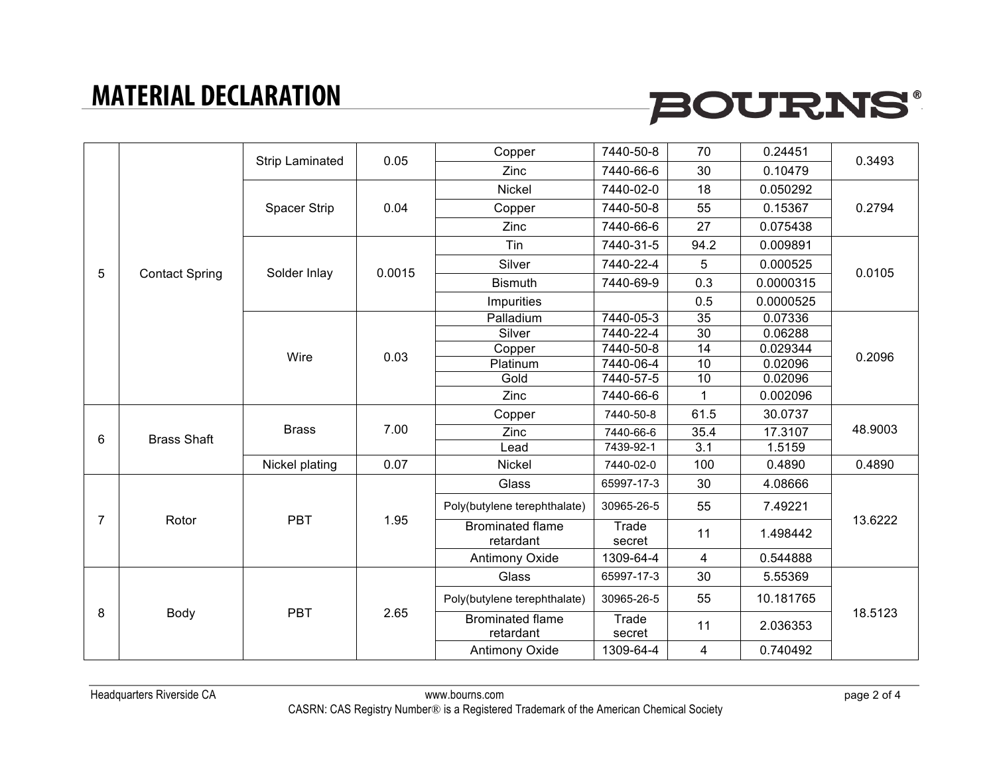# **BOURNS®**

|                |                       | Strip Laminated | 0.05   | Copper                               | 7440-50-8       | 70               | 0.24451   | 0.3493        |
|----------------|-----------------------|-----------------|--------|--------------------------------------|-----------------|------------------|-----------|---------------|
|                |                       |                 |        | <b>Zinc</b>                          | 7440-66-6       | 30               | 0.10479   |               |
|                |                       |                 |        | <b>Nickel</b>                        | 7440-02-0       | 18               | 0.050292  | 0.2794        |
|                |                       | Spacer Strip    | 0.04   | Copper                               | 7440-50-8       | 55               | 0.15367   |               |
|                |                       |                 |        | <b>Zinc</b>                          | 7440-66-6       | 27               | 0.075438  |               |
|                |                       |                 | 0.0015 | Tin                                  | 7440-31-5       | 94.2             | 0.009891  | 0.0105        |
| 5              |                       | Solder Inlay    |        | Silver                               | 7440-22-4       | 5                | 0.000525  |               |
|                | <b>Contact Spring</b> |                 |        | <b>Bismuth</b>                       | 7440-69-9       | 0.3              | 0.0000315 |               |
|                |                       |                 |        | Impurities                           |                 | 0.5              | 0.0000525 |               |
|                |                       |                 | 0.03   | Palladium                            | 7440-05-3       | 35               | 0.07336   |               |
|                |                       |                 |        | Silver                               | 7440-22-4       | $\overline{30}$  | 0.06288   | 0.2096        |
|                |                       |                 |        | Copper                               | 7440-50-8       | 14               | 0.029344  |               |
|                |                       | Wire            |        | Platinum                             | 7440-06-4       | 10               | 0.02096   |               |
|                |                       |                 |        | Gold                                 | 7440-57-5       | 10               | 0.02096   |               |
|                |                       |                 |        | Zinc                                 | 7440-66-6       | $\mathbf{1}$     | 0.002096  |               |
|                | <b>Brass Shaft</b>    | <b>Brass</b>    | 7.00   | Copper                               | 7440-50-8       | 61.5             | 30.0737   | 48.9003       |
| 6              |                       |                 |        | Zinc                                 | 7440-66-6       | 35.4             | 17.3107   |               |
|                |                       |                 |        | Lead                                 | 7439-92-1       | $\overline{3.1}$ | 1.5159    |               |
|                |                       | Nickel plating  | 0.07   | <b>Nickel</b>                        | 7440-02-0       | 100              | 0.4890    | 0.4890        |
|                | Rotor                 | <b>PBT</b>      | 1.95   | Glass                                | 65997-17-3      | 30               | 4.08666   | 13.6222       |
|                |                       |                 |        | Poly(butylene terephthalate)         | 30965-26-5      | 55               | 7.49221   |               |
| $\overline{7}$ |                       |                 |        | <b>Brominated flame</b><br>retardant | Trade<br>secret | 11               | 1.498442  |               |
|                |                       |                 |        | Antimony Oxide                       | 1309-64-4       | $\overline{4}$   | 0.544888  |               |
| 8              | Body                  | <b>PBT</b>      | 2.65   | Glass                                | 65997-17-3      | 30               | 5.55369   |               |
|                |                       |                 |        | Poly(butylene terephthalate)         | 30965-26-5      | 55               | 10.181765 |               |
|                |                       |                 |        | <b>Brominated flame</b><br>retardant | Trade<br>secret | 11               | 2.036353  | 18.5123       |
|                |                       |                 |        |                                      |                 | Antimony Oxide   | 1309-64-4 | 4<br>0.740492 |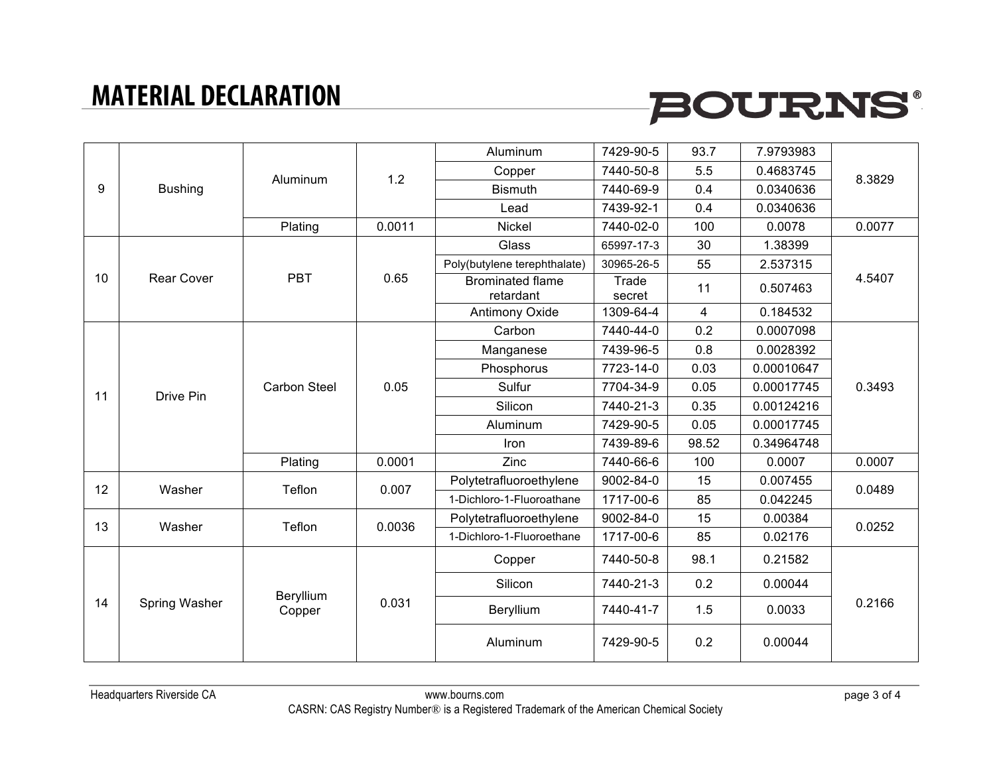# **BOURNS®**

| 9  | <b>Bushing</b>    | Aluminum                     | 1.2          | Aluminum                             | 7429-90-5       | 93.7           | 7.9793983  |        |
|----|-------------------|------------------------------|--------------|--------------------------------------|-----------------|----------------|------------|--------|
|    |                   |                              |              | Copper                               | 7440-50-8       | 5.5            | 0.4683745  | 8.3829 |
|    |                   |                              |              | <b>Bismuth</b>                       | 7440-69-9       | 0.4            | 0.0340636  |        |
|    |                   |                              |              | Lead                                 | 7439-92-1       | 0.4            | 0.0340636  |        |
|    |                   | Plating                      | 0.0011       | Nickel                               | 7440-02-0       | 100            | 0.0078     | 0.0077 |
|    |                   |                              |              | Glass                                | 65997-17-3      | 30             | 1.38399    | 4.5407 |
|    |                   |                              | 0.65<br>0.05 | Poly(butylene terephthalate)         | 30965-26-5      | 55             | 2.537315   |        |
| 10 | <b>Rear Cover</b> | <b>PBT</b>                   |              | <b>Brominated flame</b><br>retardant | Trade<br>secret | 11             | 0.507463   |        |
|    |                   |                              |              | Antimony Oxide                       | 1309-64-4       | $\overline{4}$ | 0.184532   |        |
|    |                   |                              |              | Carbon                               | 7440-44-0       | 0.2            | 0.0007098  |        |
|    |                   | <b>Carbon Steel</b>          |              | Manganese                            | 7439-96-5       | 0.8            | 0.0028392  | 0.3493 |
|    |                   |                              |              | Phosphorus                           | 7723-14-0       | 0.03           | 0.00010647 |        |
|    | Drive Pin         |                              |              | Sulfur                               | 7704-34-9       | 0.05           | 0.00017745 |        |
| 11 |                   |                              |              | Silicon                              | 7440-21-3       | 0.35           | 0.00124216 |        |
|    |                   |                              |              | Aluminum                             | 7429-90-5       | 0.05           | 0.00017745 |        |
|    |                   |                              |              | Iron                                 | 7439-89-6       | 98.52          | 0.34964748 |        |
|    |                   | Plating                      | 0.0001       | Zinc                                 | 7440-66-6       | 100            | 0.0007     | 0.0007 |
| 12 | Washer            | Teflon                       | 0.007        | Polytetrafluoroethylene              | 9002-84-0       | 15             | 0.007455   | 0.0489 |
|    |                   |                              |              | 1-Dichloro-1-Fluoroathane            | 1717-00-6       | 85             | 0.042245   |        |
| 13 | Washer            | Teflon                       | 0.0036       | Polytetrafluoroethylene              | 9002-84-0       | 15             | 0.00384    | 0.0252 |
|    |                   |                              |              | 1-Dichloro-1-Fluoroethane            | 1717-00-6       | 85             | 0.02176    |        |
|    | Spring Washer     | Beryllium<br>0.031<br>Copper |              | Copper                               | 7440-50-8       | 98.1           | 0.21582    | 0.2166 |
| 14 |                   |                              |              | Silicon                              | 7440-21-3       | 0.2            | 0.00044    |        |
|    |                   |                              |              | Beryllium                            | 7440-41-7       | 1.5            | 0.0033     |        |
|    |                   |                              |              | Aluminum                             | 7429-90-5       | 0.2            | 0.00044    |        |